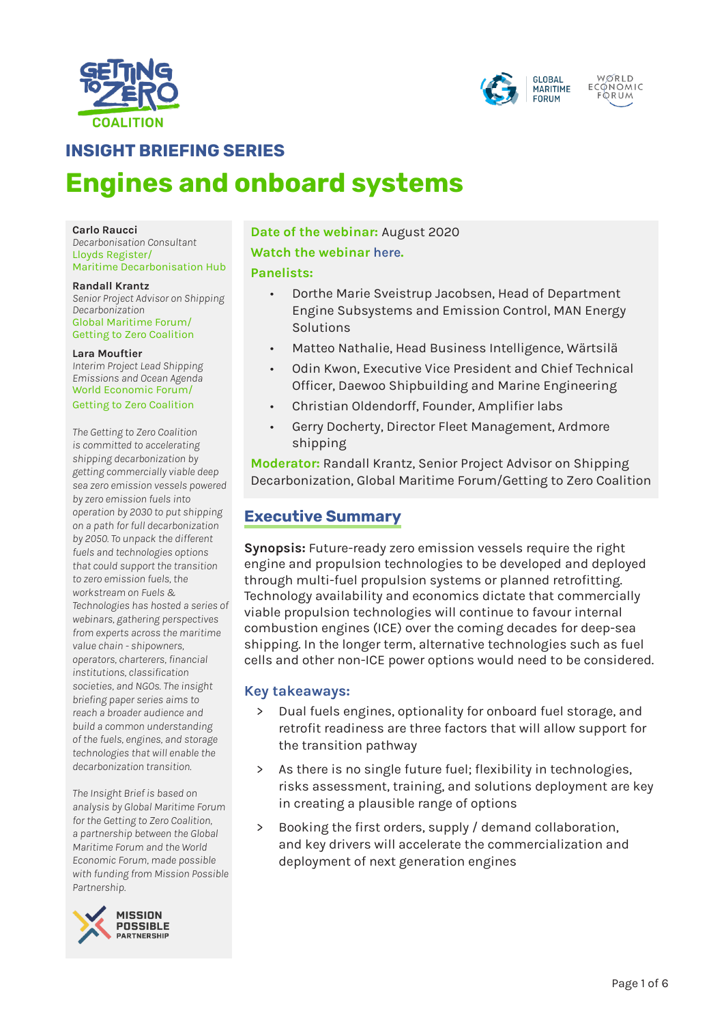



# **INSIGHT BRIEFING SERIES**

# **Engines and onboard systems**

**Carlo Raucci**

*Decarbonisation Consultant* Lloyds Register/ Maritime Decarbonisation Hub

#### **Randall Krantz**

*Senior Project Advisor on Shipping Decarbonization* Global Maritime Forum/ Getting to Zero Coalition

#### **Lara Mouftier**

*Interim Project Lead Shipping Emissions and Ocean Agenda* World Economic Forum/ Getting to Zero Coalition

*The Getting to Zero Coalition is committed to accelerating shipping decarbonization by getting commercially viable deep sea zero emission vessels powered by zero emission fuels into operation by 2030 to put shipping on a path for full decarbonization by 2050. To unpack the different fuels and technologies options that could support the transition to zero emission fuels, the workstream on Fuels & Technologies has hosted a series of webinars, gathering perspectives from experts across the maritime value chain - shipowners, operators, charterers, financial institutions, classification societies, and NGOs. The insight briefing paper series aims to reach a broader audience and build a common understanding of the fuels, engines, and storage technologies that will enable the decarbonization transition.*

*The Insight Brief is based on analysis by Global Maritime Forum for the Getting to Zero Coalition, a partnership between the Global Maritime Forum and the World Economic Forum, made possible with funding from Mission Possible Partnership.* 



**Date of the webinar:** August 2020

#### **Watch the webinar [here](https://www.youtube.com/watch?v=r1MsjRKGcM4&list=PLhMpuiGhAMb7yhVYC0b5mJhkJqxr4TC-Q&index=12).**

#### **Panelists:**

- Dorthe Marie Sveistrup Jacobsen, Head of Department Engine Subsystems and Emission Control, MAN Energy Solutions
- Matteo Nathalie, Head Business Intelligence, Wärtsilä
- Odin Kwon, Executive Vice President and Chief Technical Officer, Daewoo Shipbuilding and Marine Engineering
- Christian Oldendorff, Founder, Amplifier labs
- Gerry Docherty, Director Fleet Management, Ardmore shipping

**Moderator:** Randall Krantz, Senior Project Advisor on Shipping Decarbonization, Global Maritime Forum/Getting to Zero Coalition

# **Executive Summary**

**Synopsis:** Future-ready zero emission vessels require the right engine and propulsion technologies to be developed and deployed through multi-fuel propulsion systems or planned retrofitting. Technology availability and economics dictate that commercially viable propulsion technologies will continue to favour internal combustion engines (ICE) over the coming decades for deep-sea shipping. In the longer term, alternative technologies such as fuel cells and other non-ICE power options would need to be considered.

#### **Key takeaways:**

- > Dual fuels engines, optionality for onboard fuel storage, and retrofit readiness are three factors that will allow support for the transition pathway
- > As there is no single future fuel; flexibility in technologies, risks assessment, training, and solutions deployment are key in creating a plausible range of options
- > Booking the first orders, supply / demand collaboration, and key drivers will accelerate the commercialization and deployment of next generation engines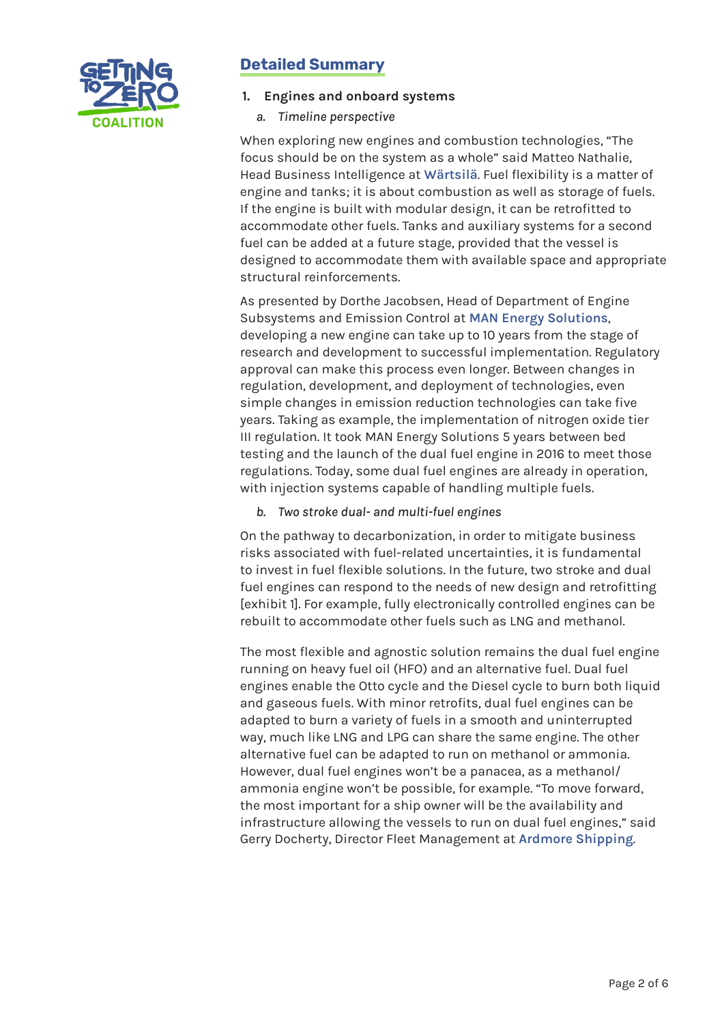

# **Detailed Summary**

#### **1. Engines and onboard systems**

*a. Timeline perspective*

When exploring new engines and combustion technologies, "The focus should be on the system as a whole" said Matteo Nathalie, Head Business Intelligence at **[Wärtsilä](https://www.wartsila.com/)**. Fuel flexibility is a matter of engine and tanks; it is about combustion as well as storage of fuels. If the engine is built with modular design, it can be retrofitted to accommodate other fuels. Tanks and auxiliary systems for a second fuel can be added at a future stage, provided that the vessel is designed to accommodate them with available space and appropriate structural reinforcements.

As presented by Dorthe Jacobsen, Head of Department of Engine Subsystems and Emission Control at **[MAN Energy Solutions](https://www.man-es.com/)**, developing a new engine can take up to 10 years from the stage of research and development to successful implementation. Regulatory approval can make this process even longer. Between changes in regulation, development, and deployment of technologies, even simple changes in emission reduction technologies can take five years. Taking as example, the implementation of nitrogen oxide tier III regulation. It took MAN Energy Solutions 5 years between bed testing and the launch of the dual fuel engine in 2016 to meet those regulations. Today, some dual fuel engines are already in operation, with injection systems capable of handling multiple fuels.

*b. Two stroke dual- and multi-fuel engines*

On the pathway to decarbonization, in order to mitigate business risks associated with fuel-related uncertainties, it is fundamental to invest in fuel flexible solutions. In the future, two stroke and dual fuel engines can respond to the needs of new design and retrofitting [exhibit 1]. For example, fully electronically controlled engines can be rebuilt to accommodate other fuels such as LNG and methanol.

The most flexible and agnostic solution remains the dual fuel engine running on heavy fuel oil (HFO) and an alternative fuel. Dual fuel engines enable the Otto cycle and the Diesel cycle to burn both liquid and gaseous fuels. With minor retrofits, dual fuel engines can be adapted to burn a variety of fuels in a smooth and uninterrupted way, much like LNG and LPG can share the same engine. The other alternative fuel can be adapted to run on methanol or ammonia. However, dual fuel engines won't be a panacea, as a methanol/ ammonia engine won't be possible, for example. "To move forward, the most important for a ship owner will be the availability and infrastructure allowing the vessels to run on dual fuel engines," said Gerry Docherty, Director Fleet Management at **[Ardmore Shipping](https://ardmoreshipping.com/)**.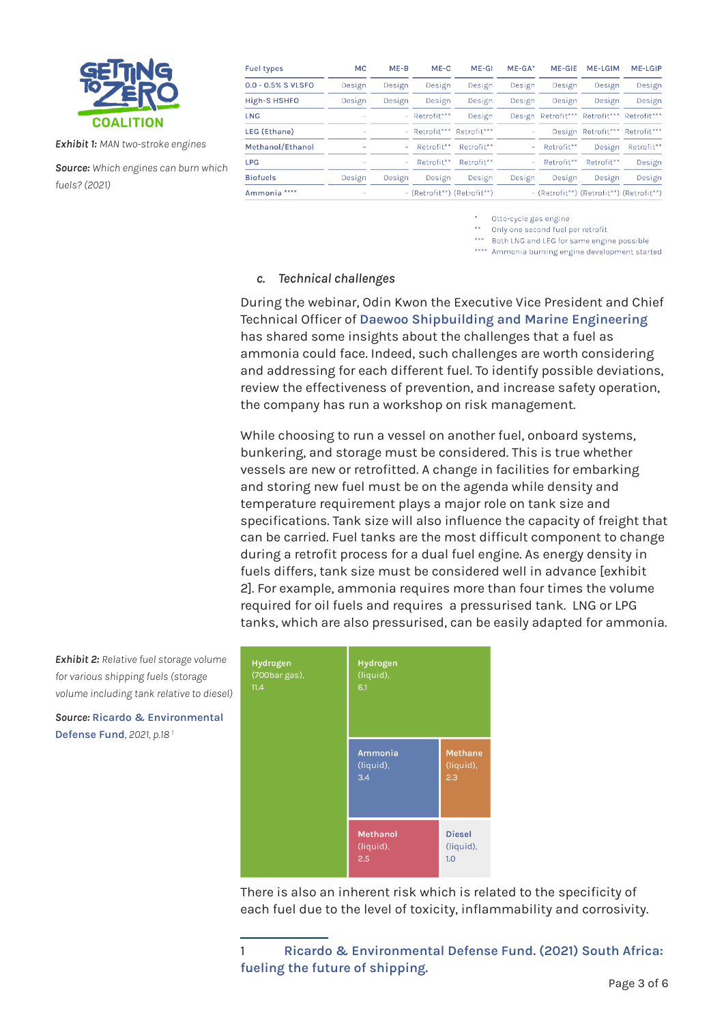

*Exhibit 1: MAN two-stroke engines*

*Source: Which engines can burn which fuels? (2021)*

| <b>Fuel types</b>   | <b>MC</b> | $ME-B$ | $ME-C$                      | ME-GI      | $ME-GA*$ | <b>ME-GIE</b> | <b>ME-LGIM</b>                           | <b>ME-LGIP</b> |
|---------------------|-----------|--------|-----------------------------|------------|----------|---------------|------------------------------------------|----------------|
| 0.0 - 0.5% S VLSFO  | Design    | Design | Design                      | Design     | Design   | Design        | Design                                   | Design         |
| High-S HSHFO        | Design    | Design | Design                      | Design     | Design   | Design        | Design                                   | Design         |
| LNG                 |           |        | $-$ Retrofit***             | Design     |          |               | Design Retrofit*** Retrofit***           | Retrofit***    |
| <b>LEG (Ethane)</b> |           |        | - Retrofit*** Retrofit***   |            |          |               | Design Retrofit*** Retrofit***           |                |
| Methanol/Ethanol    |           | - 1    | Retrofit**                  | Retrofit** | -        | Retrofit**    | Design                                   | Retrofit**     |
| <b>LPG</b>          | $\sim$    | o.     | Retrofit**                  | Retrofit** | -        | Retrofit**    | Retrofit**                               | Design         |
| <b>Biofuels</b>     | Design    | Design | Design                      | Design     | Design   | Design        | Design                                   | Design         |
| Ammonia ****        |           |        | - (Retrofit**) (Retrofit**) |            |          |               | - (Retrofit**) (Retrofit**) (Retrofit**) |                |

Otto-cycle gas engine

\*\* Only one second fuel per retrofit

\*\*\* Both LNG and LEG for same engine possible

\*\*\*\* Ammonia burning engine development started

#### *c. Technical challenges*

During the webinar, Odin Kwon the Executive Vice President and Chief Technical Officer of **[Daewoo Shipbuilding and Marine Engineering](https://www.dsme.co.kr/)** has shared some insights about the challenges that a fuel as ammonia could face. Indeed, such challenges are worth considering and addressing for each different fuel. To identify possible deviations, review the effectiveness of prevention, and increase safety operation, the company has run a workshop on risk management.

While choosing to run a vessel on another fuel, onboard systems, bunkering, and storage must be considered. This is true whether vessels are new or retrofitted. A change in facilities for embarking and storing new fuel must be on the agenda while density and temperature requirement plays a major role on tank size and specifications. Tank size will also influence the capacity of freight that can be carried. Fuel tanks are the most difficult component to change during a retrofit process for a dual fuel engine. As energy density in fuels differs, tank size must be considered well in advance [exhibit 2]. For example, ammonia requires more than four times the volume required for oil fuels and requires a pressurised tank. LNG or LPG tanks, which are also pressurised, can be easily adapted for ammonia.



There is also an inherent risk which is related to the specificity of each fuel due to the level of toxicity, inflammability and corrosivity.

*Exhibit 2: Relative fuel storage volume for various shipping fuels (storage volume including tank relative to diesel)*

*Source:* **[Ricardo & Environmental](https://www.globalmaritimeforum.org/content/2021/06/South-Africa_fueling-the-future-of-shipping.pdf)  [Defense Fund](https://www.globalmaritimeforum.org/content/2021/06/South-Africa_fueling-the-future-of-shipping.pdf)***, 2021, p.18 1*

<sup>1</sup> **[Ricardo & Environmental Defense Fund. \(2021\) South Africa:](https://www.globalmaritimeforum.org/content/2021/06/South-Africa_fueling-the-future-of-shipping.pdf)  [fueling the future of shipping.](https://www.globalmaritimeforum.org/content/2021/06/South-Africa_fueling-the-future-of-shipping.pdf)**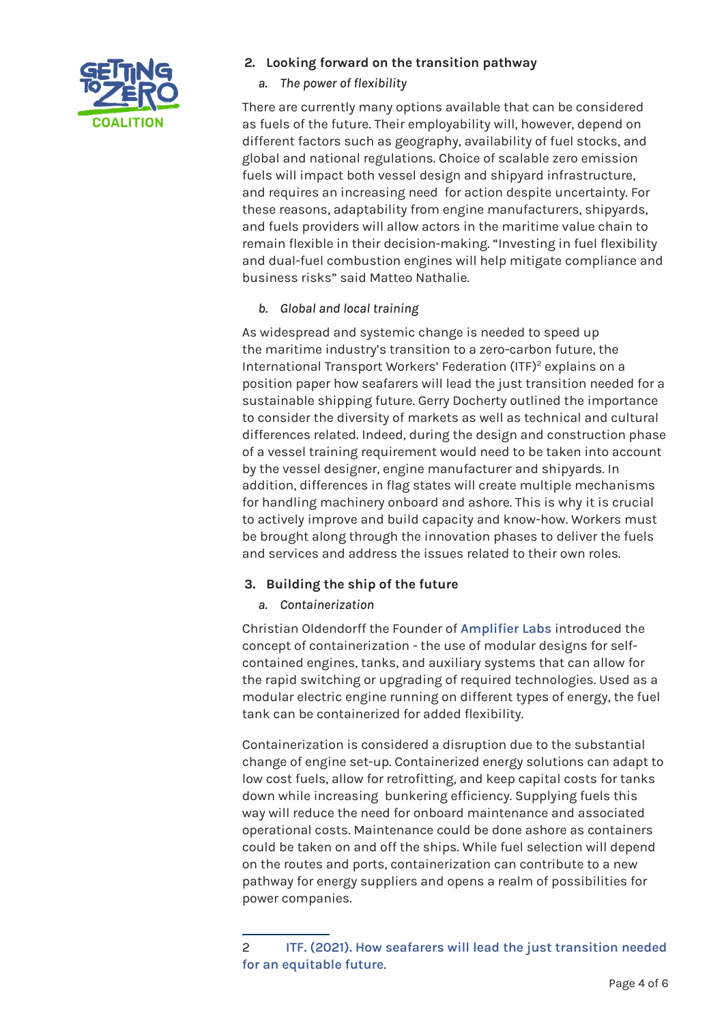

- **2. Looking forward on the transition pathway**
	- *a. The power of flexibility*

There are currently many options available that can be considered as fuels of the future. Their employability will, however, depend on different factors such as geography, availability of fuel stocks, and global and national regulations. Choice of scalable zero emission fuels will impact both vessel design and shipyard infrastructure, and requires an increasing need for action despite uncertainty. For these reasons, adaptability from engine manufacturers, shipyards, and fuels providers will allow actors in the maritime value chain to remain flexible in their decision-making. "Investing in fuel flexibility and dual-fuel combustion engines will help mitigate compliance and business risks" said Matteo Nathalie.

## *b. Global and local training*

As widespread and systemic change is needed to speed up the maritime industry's transition to a zero-carbon future, the International Transport Workers' Federation (ITF)<sup>2</sup> explains on a position paper how seafarers will lead the just transition needed for a sustainable shipping future. Gerry Docherty outlined the importance to consider the diversity of markets as well as technical and cultural differences related. Indeed, during the design and construction phase of a vessel training requirement would need to be taken into account by the vessel designer, engine manufacturer and shipyards. In addition, differences in flag states will create multiple mechanisms for handling machinery onboard and ashore. This is why it is crucial to actively improve and build capacity and know-how. Workers must be brought along through the innovation phases to deliver the fuels and services and address the issues related to their own roles.

## **3. Building the ship of the future**

## *a. Containerization*

Christian Oldendorff the Founder of **[Amplifier Labs](https://amplifierlab.io/)** introduced the concept of containerization - the use of modular designs for selfcontained engines, tanks, and auxiliary systems that can allow for the rapid switching or upgrading of required technologies. Used as a modular electric engine running on different types of energy, the fuel tank can be containerized for added flexibility.

Containerization is considered a disruption due to the substantial change of engine set-up. Containerized energy solutions can adapt to low cost fuels, allow for retrofitting, and keep capital costs for tanks down while increasing bunkering efficiency. Supplying fuels this way will reduce the need for onboard maintenance and associated operational costs. Maintenance could be done ashore as containers could be taken on and off the ships. While fuel selection will depend on the routes and ports, containerization can contribute to a new pathway for energy suppliers and opens a realm of possibilities for power companies.

<sup>2</sup> **[ITF. \(2021\). How seafarers will lead the just transition needed](https://www.itfglobal.org/en/reports-publications/itfs-sustainable-shipping-position-paper)  [for an equitable future](https://www.itfglobal.org/en/reports-publications/itfs-sustainable-shipping-position-paper)**.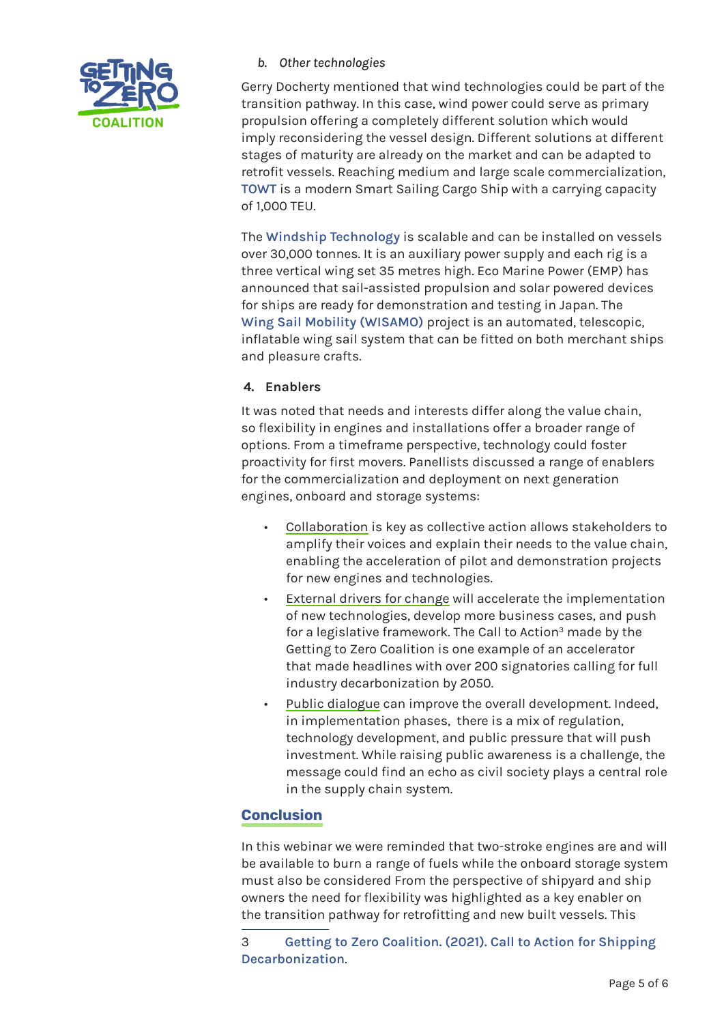

## *b. Other technologies*

Gerry Docherty mentioned that wind technologies could be part of the transition pathway. In this case, wind power could serve as primary propulsion offering a completely different solution which would imply reconsidering the vessel design. Different solutions at different stages of maturity are already on the market and can be adapted to retrofit vessels. Reaching medium and large scale commercialization, **[TOWT](https://www.towt.eu/voilier-cargo-towt/?lang=en)** is a modern Smart Sailing Cargo Ship with a carrying capacity of 1,000 TEU.

The **[Windship Technology](https://windshiptechnology.com/)** is scalable and can be installed on vessels over 30,000 tonnes. It is an auxiliary power supply and each rig is a three vertical wing set 35 metres high. Eco Marine Power (EMP) has announced that sail-assisted propulsion and solar powered devices for ships are ready for demonstration and testing in Japan. The **[Wing Sail Mobility \(WISAMO\)](https://www.michelin.com/en/press-releases/2021-movinon-michelin-presents-two-innovations-to-accelerate-the-development-of-sustainable-mobility/)** project is an automated, telescopic, inflatable wing sail system that can be fitted on both merchant ships and pleasure crafts.

## **4. Enablers**

It was noted that needs and interests differ along the value chain, so flexibility in engines and installations offer a broader range of options. From a timeframe perspective, technology could foster proactivity for first movers. Panellists discussed a range of enablers for the commercialization and deployment on next generation engines, onboard and storage systems:

- Collaboration is key as collective action allows stakeholders to amplify their voices and explain their needs to the value chain, enabling the acceleration of pilot and demonstration projects for new engines and technologies.
- External drivers for change will accelerate the implementation of new technologies, develop more business cases, and push for a legislative framework. The Call to Action<sup>3</sup> made by the Getting to Zero Coalition is one example of an accelerator that made headlines with over 200 signatories calling for full industry decarbonization by 2050.
- Public dialogue can improve the overall development. Indeed, in implementation phases, there is a mix of regulation, technology development, and public pressure that will push investment. While raising public awareness is a challenge, the message could find an echo as civil society plays a central role in the supply chain system.

## **Conclusion**

In this webinar we were reminded that two-stroke engines are and will be available to burn a range of fuels while the onboard storage system must also be considered From the perspective of shipyard and ship owners the need for flexibility was highlighted as a key enabler on the transition pathway for retrofitting and new built vessels. This

<sup>3</sup> **[Getting to Zero Coalition. \(2021\). Call to Action for Shipping](https://www.globalmaritimeforum.org/content/2021/09/Call-to-Action-for-Shipping-Decarbonization.pdf)  [Decarbonization](https://www.globalmaritimeforum.org/content/2021/09/Call-to-Action-for-Shipping-Decarbonization.pdf)**.